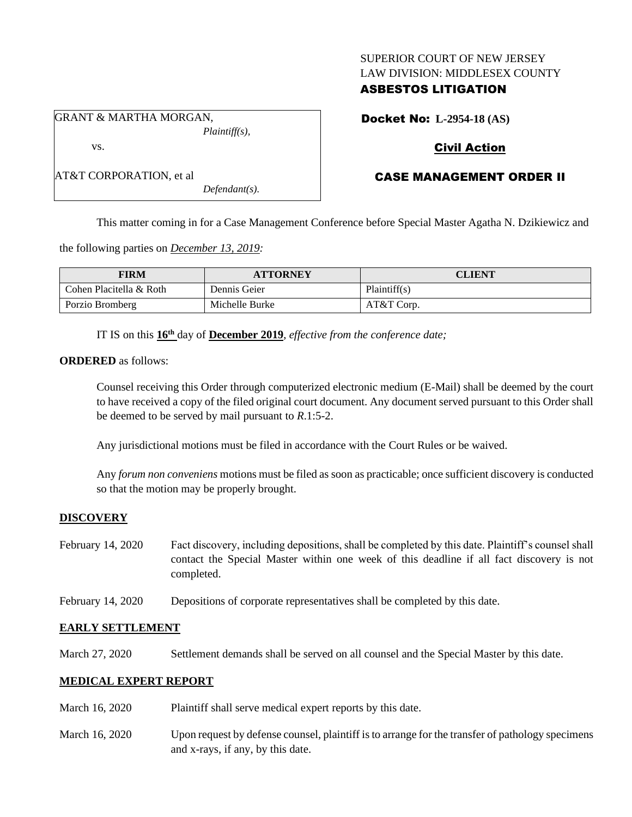### SUPERIOR COURT OF NEW JERSEY LAW DIVISION: MIDDLESEX COUNTY

## ASBESTOS LITIGATION

GRANT & MARTHA MORGAN, *Plaintiff(s),*

Docket No: **L-2954-18 (AS)**

# Civil Action

# CASE MANAGEMENT ORDER II

*Defendant(s).*

This matter coming in for a Case Management Conference before Special Master Agatha N. Dzikiewicz and

the following parties on *December 13, 2019:*

| FIRM                    | <b>ATTORNEY</b> | CLIENT       |
|-------------------------|-----------------|--------------|
| Cohen Placitella & Roth | Dennis Geier    | Plaintiff(s) |
| Porzio Bromberg         | Michelle Burke  | $AT&T$ Corp. |

IT IS on this **16th** day of **December 2019**, *effective from the conference date;*

**ORDERED** as follows:

vs.

AT&T CORPORATION, et al

Counsel receiving this Order through computerized electronic medium (E-Mail) shall be deemed by the court to have received a copy of the filed original court document. Any document served pursuant to this Order shall be deemed to be served by mail pursuant to *R*.1:5-2.

Any jurisdictional motions must be filed in accordance with the Court Rules or be waived.

Any *forum non conveniens* motions must be filed as soon as practicable; once sufficient discovery is conducted so that the motion may be properly brought.

## **DISCOVERY**

- February 14, 2020 Fact discovery, including depositions, shall be completed by this date. Plaintiff's counsel shall contact the Special Master within one week of this deadline if all fact discovery is not completed.
- February 14, 2020 Depositions of corporate representatives shall be completed by this date.

### **EARLY SETTLEMENT**

March 27, 2020 Settlement demands shall be served on all counsel and the Special Master by this date.

## **MEDICAL EXPERT REPORT**

- March 16, 2020 Plaintiff shall serve medical expert reports by this date.
- March 16, 2020 Upon request by defense counsel, plaintiff is to arrange for the transfer of pathology specimens and x-rays, if any, by this date.